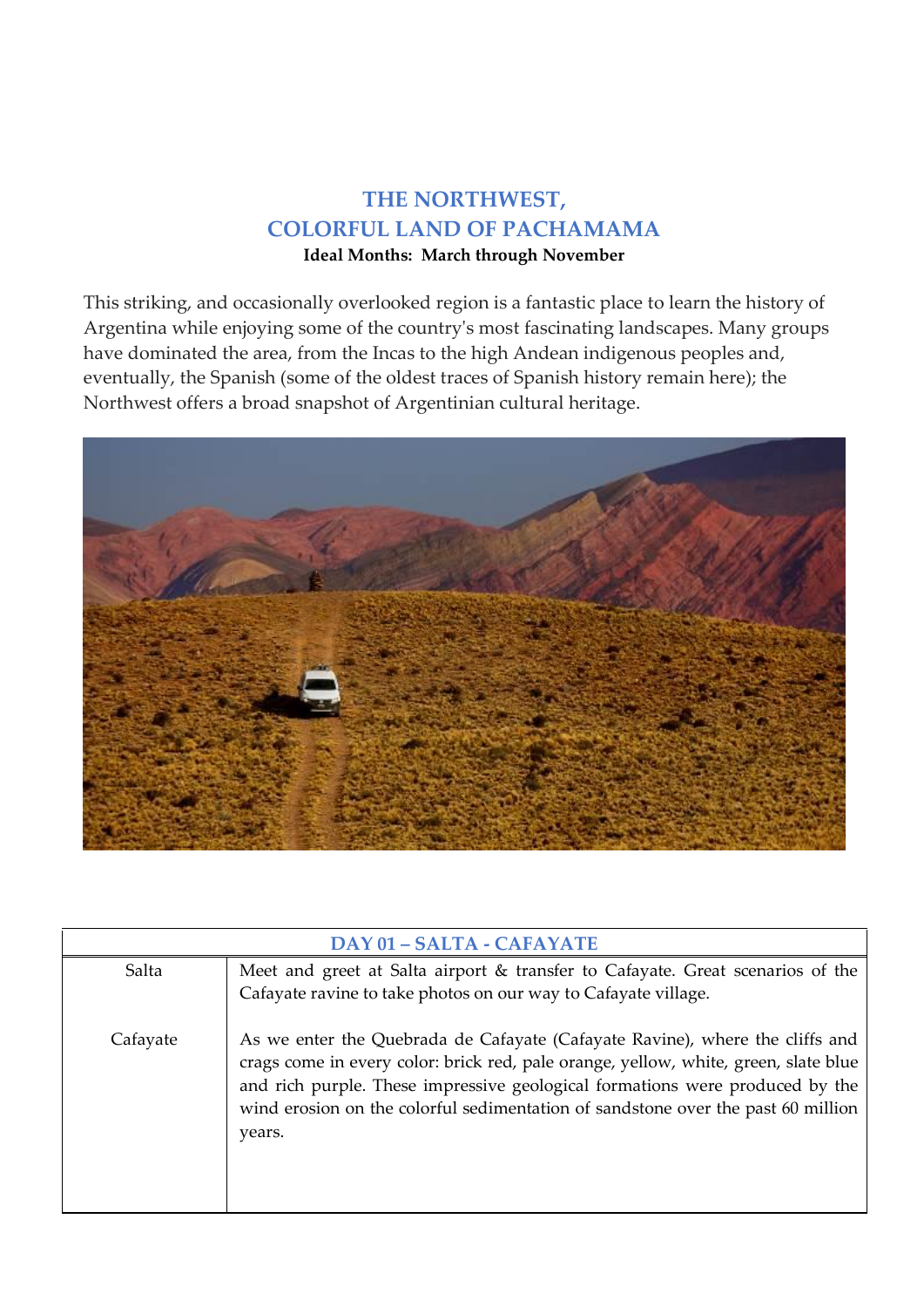## **THE NORTHWEST, COLORFUL LAND OF PACHAMAMA**

**Ideal Months: March through November** 

This striking, and occasionally overlooked region is a fantastic place to learn the history of Argentina while enjoying some of the country's most fascinating landscapes. Many groups have dominated the area, from the Incas to the high Andean indigenous peoples and, eventually, the Spanish (some of the oldest traces of Spanish history remain here); the Northwest offers a broad snapshot of Argentinian cultural heritage.



| <b>DAY 01 - SALTA - CAFAYATE</b> |                                                                                                                                                                                                                                                                                                                                                   |
|----------------------------------|---------------------------------------------------------------------------------------------------------------------------------------------------------------------------------------------------------------------------------------------------------------------------------------------------------------------------------------------------|
| Salta                            | Meet and greet at Salta airport & transfer to Cafayate. Great scenarios of the<br>Cafayate ravine to take photos on our way to Cafayate village.                                                                                                                                                                                                  |
| Cafayate                         | As we enter the Quebrada de Cafayate (Cafayate Ravine), where the cliffs and<br>crags come in every color: brick red, pale orange, yellow, white, green, slate blue<br>and rich purple. These impressive geological formations were produced by the<br>wind erosion on the colorful sedimentation of sandstone over the past 60 million<br>years. |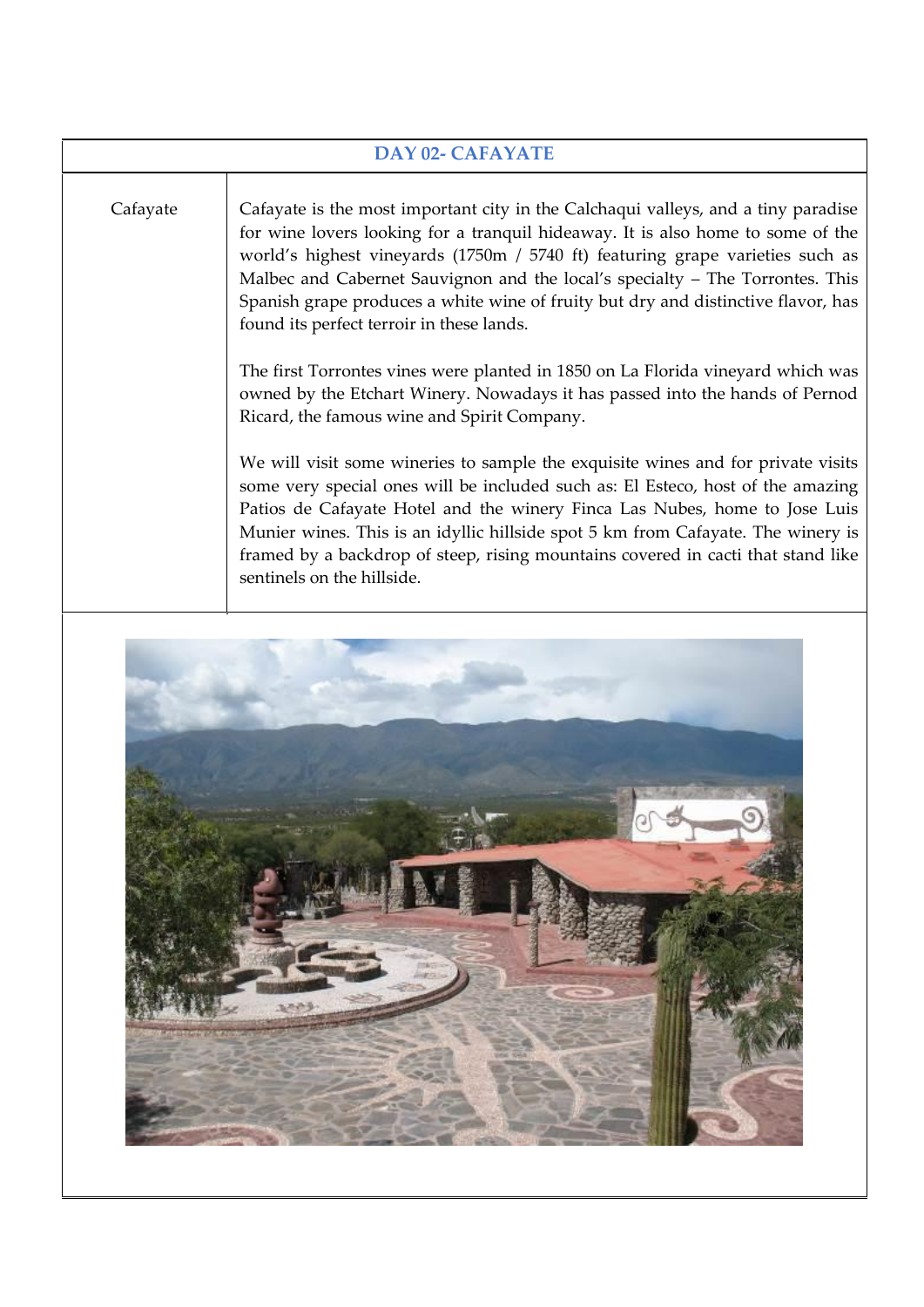| <b>DAY 02- CAFAYATE</b> |                                                                                                                                                                                                                                                                                                                                                                                                                                                                                                                                                                                                                                                                                                                                                                                                                                                                                                                                                                                                                                                                                                                                                       |
|-------------------------|-------------------------------------------------------------------------------------------------------------------------------------------------------------------------------------------------------------------------------------------------------------------------------------------------------------------------------------------------------------------------------------------------------------------------------------------------------------------------------------------------------------------------------------------------------------------------------------------------------------------------------------------------------------------------------------------------------------------------------------------------------------------------------------------------------------------------------------------------------------------------------------------------------------------------------------------------------------------------------------------------------------------------------------------------------------------------------------------------------------------------------------------------------|
| Cafayate                | Cafayate is the most important city in the Calchaqui valleys, and a tiny paradise<br>for wine lovers looking for a tranquil hideaway. It is also home to some of the<br>world's highest vineyards (1750m / 5740 ft) featuring grape varieties such as<br>Malbec and Cabernet Sauvignon and the local's specialty - The Torrontes. This<br>Spanish grape produces a white wine of fruity but dry and distinctive flavor, has<br>found its perfect terroir in these lands.<br>The first Torrontes vines were planted in 1850 on La Florida vineyard which was<br>owned by the Etchart Winery. Nowadays it has passed into the hands of Pernod<br>Ricard, the famous wine and Spirit Company.<br>We will visit some wineries to sample the exquisite wines and for private visits<br>some very special ones will be included such as: El Esteco, host of the amazing<br>Patios de Cafayate Hotel and the winery Finca Las Nubes, home to Jose Luis<br>Munier wines. This is an idyllic hillside spot 5 km from Cafayate. The winery is<br>framed by a backdrop of steep, rising mountains covered in cacti that stand like<br>sentinels on the hillside. |
|                         |                                                                                                                                                                                                                                                                                                                                                                                                                                                                                                                                                                                                                                                                                                                                                                                                                                                                                                                                                                                                                                                                                                                                                       |

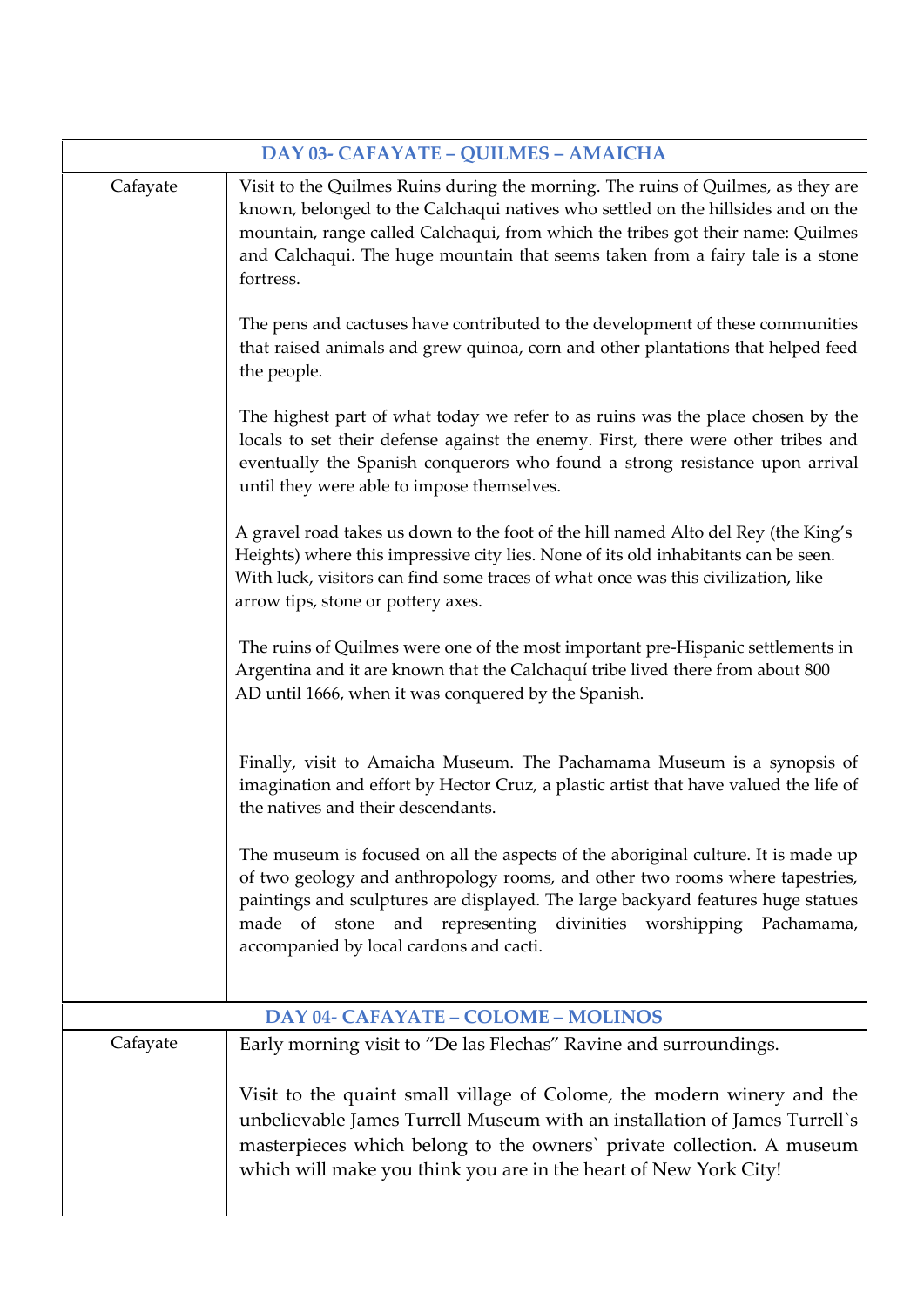| DAY 03- CAFAYATE - QUILMES - AMAICHA |                                                                                                                                                                                                                                                                                                                                                                         |
|--------------------------------------|-------------------------------------------------------------------------------------------------------------------------------------------------------------------------------------------------------------------------------------------------------------------------------------------------------------------------------------------------------------------------|
| Cafayate                             | Visit to the Quilmes Ruins during the morning. The ruins of Quilmes, as they are<br>known, belonged to the Calchaqui natives who settled on the hillsides and on the<br>mountain, range called Calchaqui, from which the tribes got their name: Quilmes<br>and Calchaqui. The huge mountain that seems taken from a fairy tale is a stone<br>fortress.                  |
|                                      | The pens and cactuses have contributed to the development of these communities<br>that raised animals and grew quinoa, corn and other plantations that helped feed<br>the people.                                                                                                                                                                                       |
|                                      | The highest part of what today we refer to as ruins was the place chosen by the<br>locals to set their defense against the enemy. First, there were other tribes and<br>eventually the Spanish conquerors who found a strong resistance upon arrival<br>until they were able to impose themselves.                                                                      |
|                                      | A gravel road takes us down to the foot of the hill named Alto del Rey (the King's<br>Heights) where this impressive city lies. None of its old inhabitants can be seen.<br>With luck, visitors can find some traces of what once was this civilization, like<br>arrow tips, stone or pottery axes.                                                                     |
|                                      | The ruins of Quilmes were one of the most important pre-Hispanic settlements in<br>Argentina and it are known that the Calchaquí tribe lived there from about 800<br>AD until 1666, when it was conquered by the Spanish.                                                                                                                                               |
|                                      | Finally, visit to Amaicha Museum. The Pachamama Museum is a synopsis of<br>imagination and effort by Hector Cruz, a plastic artist that have valued the life of<br>the natives and their descendants.                                                                                                                                                                   |
|                                      | The museum is focused on all the aspects of the aboriginal culture. It is made up<br>of two geology and anthropology rooms, and other two rooms where tapestries,<br>paintings and sculptures are displayed. The large backyard features huge statues<br>made of stone and representing divinities worshipping<br>Pachamama,<br>accompanied by local cardons and cacti. |
|                                      | DAY 04- CAFAYATE - COLOME - MOLINOS                                                                                                                                                                                                                                                                                                                                     |
| Cafayate                             | Early morning visit to "De las Flechas" Ravine and surroundings.                                                                                                                                                                                                                                                                                                        |
|                                      | Visit to the quaint small village of Colome, the modern winery and the<br>unbelievable James Turrell Museum with an installation of James Turrell's<br>masterpieces which belong to the owners' private collection. A museum<br>which will make you think you are in the heart of New York City!                                                                        |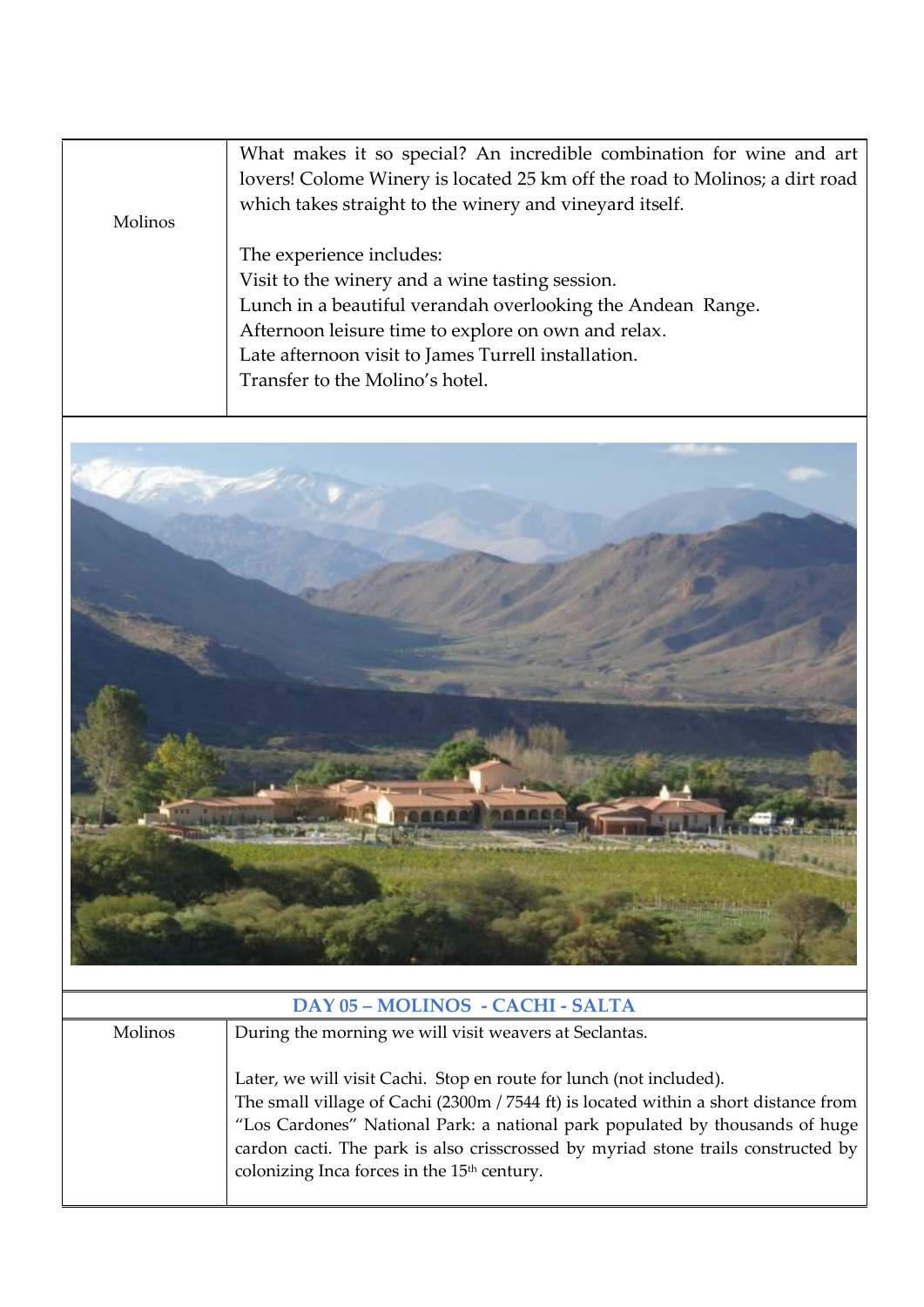|         | What makes it so special? An incredible combination for wine and art<br>lovers! Colome Winery is located 25 km off the road to Molinos; a dirt road<br>which takes straight to the winery and vineyard itself. |
|---------|----------------------------------------------------------------------------------------------------------------------------------------------------------------------------------------------------------------|
| Molinos |                                                                                                                                                                                                                |
|         | The experience includes:                                                                                                                                                                                       |
|         | Visit to the winery and a wine tasting session.                                                                                                                                                                |
|         | Lunch in a beautiful verandah overlooking the Andean Range.                                                                                                                                                    |
|         | Afternoon leisure time to explore on own and relax.                                                                                                                                                            |
|         | Late afternoon visit to James Turrell installation.                                                                                                                                                            |
|         | Transfer to the Molino's hotel.                                                                                                                                                                                |
|         |                                                                                                                                                                                                                |



| DAY 05 - MOLINOS - CACHI - SALTA |                                                                                      |
|----------------------------------|--------------------------------------------------------------------------------------|
| <b>Molinos</b>                   | During the morning we will visit weavers at Seclantas.                               |
|                                  |                                                                                      |
|                                  | Later, we will visit Cachi. Stop en route for lunch (not included).                  |
|                                  | The small village of Cachi (2300m / 7544 ft) is located within a short distance from |
|                                  | "Los Cardones" National Park: a national park populated by thousands of huge         |
|                                  | cardon cacti. The park is also crisscrossed by myriad stone trails constructed by    |
|                                  | colonizing Inca forces in the 15 <sup>th</sup> century.                              |
|                                  |                                                                                      |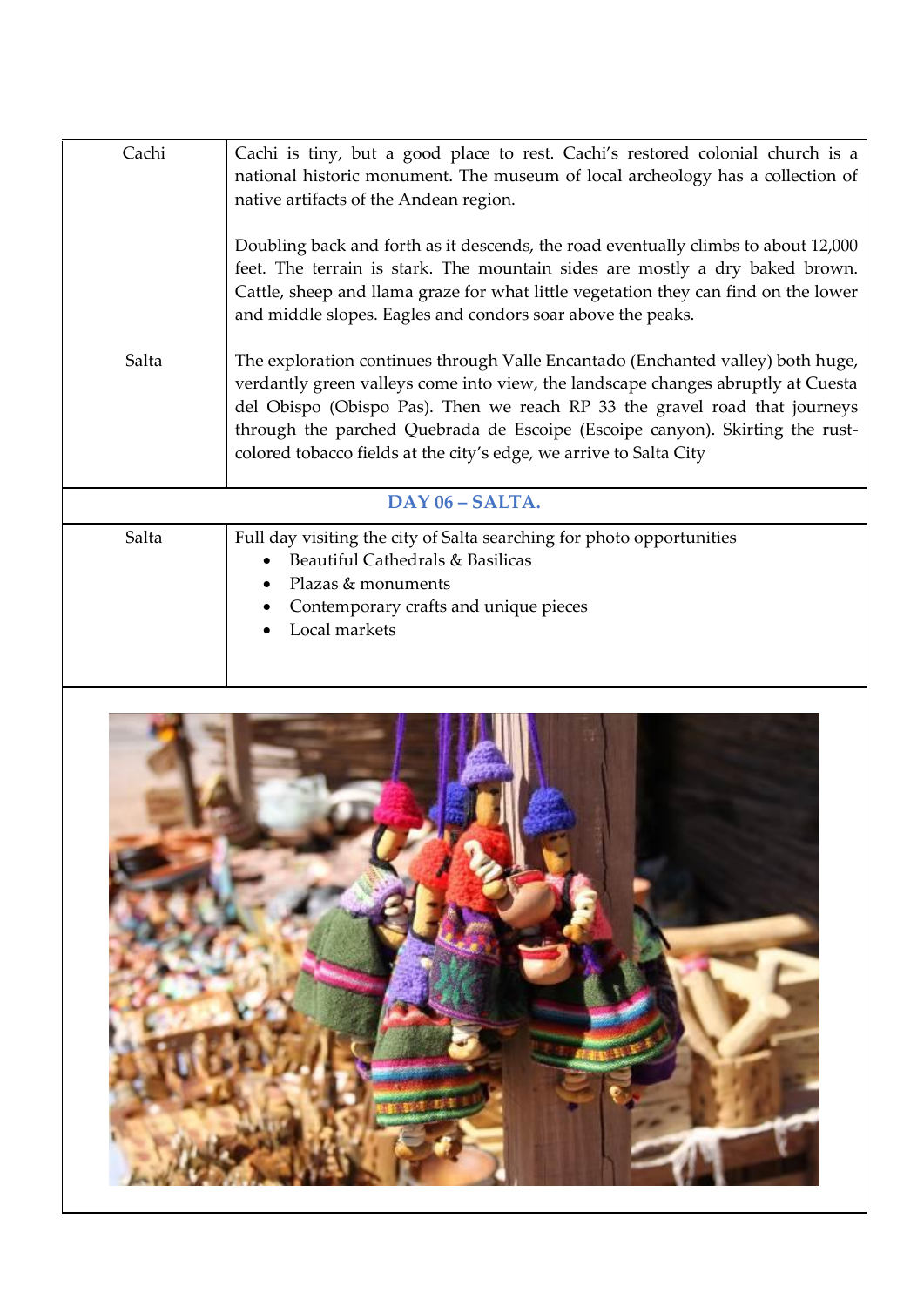| Cachi           | Cachi is tiny, but a good place to rest. Cachi's restored colonial church is a<br>national historic monument. The museum of local archeology has a collection of<br>native artifacts of the Andean region.                                                                                                                                                                                              |
|-----------------|---------------------------------------------------------------------------------------------------------------------------------------------------------------------------------------------------------------------------------------------------------------------------------------------------------------------------------------------------------------------------------------------------------|
|                 | Doubling back and forth as it descends, the road eventually climbs to about 12,000<br>feet. The terrain is stark. The mountain sides are mostly a dry baked brown.<br>Cattle, sheep and llama graze for what little vegetation they can find on the lower<br>and middle slopes. Eagles and condors soar above the peaks.                                                                                |
| Salta           | The exploration continues through Valle Encantado (Enchanted valley) both huge,<br>verdantly green valleys come into view, the landscape changes abruptly at Cuesta<br>del Obispo (Obispo Pas). Then we reach RP 33 the gravel road that journeys<br>through the parched Quebrada de Escoipe (Escoipe canyon). Skirting the rust-<br>colored tobacco fields at the city's edge, we arrive to Salta City |
| DAY 06 - SALTA. |                                                                                                                                                                                                                                                                                                                                                                                                         |
| Salta           | Full day visiting the city of Salta searching for photo opportunities<br>Beautiful Cathedrals & Basilicas<br>Plazas & monuments<br>Contemporary crafts and unique pieces<br>Local markets                                                                                                                                                                                                               |

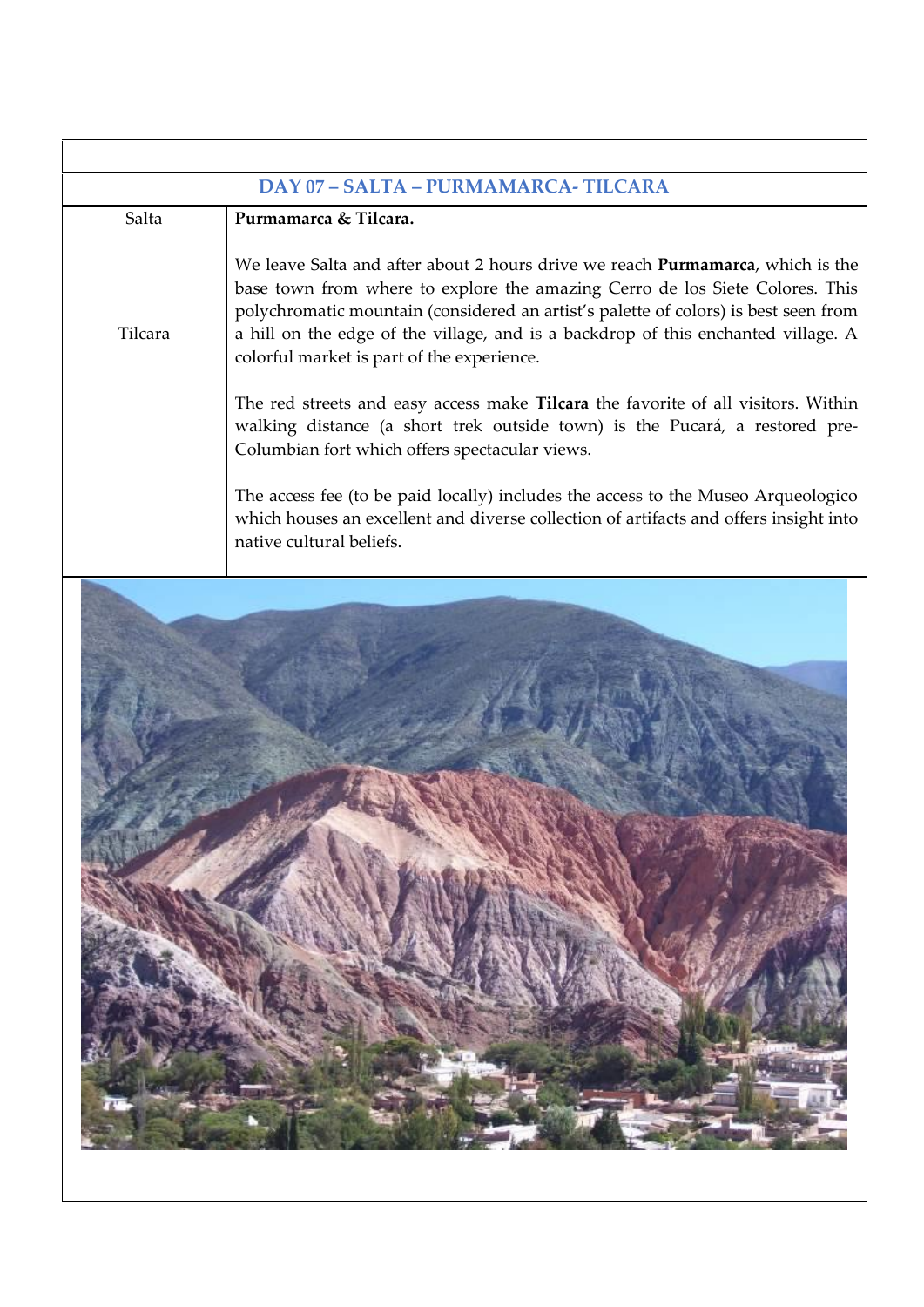|         | DAY 07 - SALTA - PURMAMARCA- TILCARA                                                                                                                                                                                                                                                                                                                                                             |
|---------|--------------------------------------------------------------------------------------------------------------------------------------------------------------------------------------------------------------------------------------------------------------------------------------------------------------------------------------------------------------------------------------------------|
| Salta   | Purmamarca & Tilcara.                                                                                                                                                                                                                                                                                                                                                                            |
| Tilcara | We leave Salta and after about 2 hours drive we reach <b>Purmamarca</b> , which is the<br>base town from where to explore the amazing Cerro de los Siete Colores. This<br>polychromatic mountain (considered an artist's palette of colors) is best seen from<br>a hill on the edge of the village, and is a backdrop of this enchanted village. A<br>colorful market is part of the experience. |
|         | The red streets and easy access make Tilcara the favorite of all visitors. Within<br>walking distance (a short trek outside town) is the Pucará, a restored pre-<br>Columbian fort which offers spectacular views.                                                                                                                                                                               |
|         | The access fee (to be paid locally) includes the access to the Museo Arqueologico<br>which houses an excellent and diverse collection of artifacts and offers insight into<br>native cultural beliefs.                                                                                                                                                                                           |

r